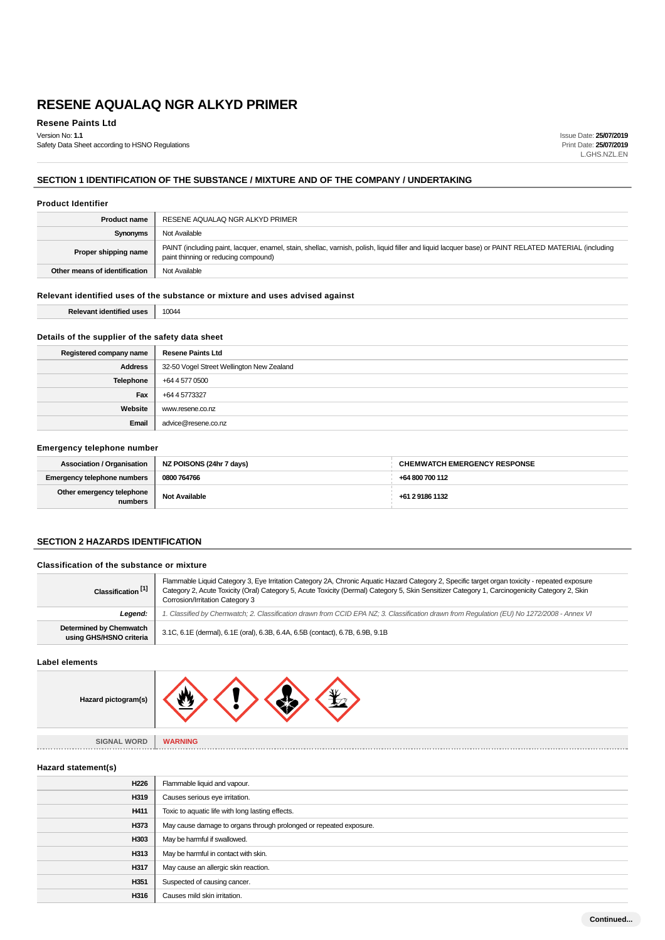**Resene Paints Ltd** Version No: **1.1**

Safety Data Sheet according to HSNO Regulations

Issue Date: **25/07/2019** Print Date: **25/07/2019** L.GHS.NZL.EN

## **SECTION 1 IDENTIFICATION OF THE SUBSTANCE / MIXTURE AND OF THE COMPANY / UNDERTAKING**

#### **Product Identifier**

| <b>Product name</b>           | RESENE AQUALAQ NGR ALKYD PRIMER                                                                                                                                                               |  |
|-------------------------------|-----------------------------------------------------------------------------------------------------------------------------------------------------------------------------------------------|--|
| <b>Synonyms</b>               | Not Available                                                                                                                                                                                 |  |
| Proper shipping name          | PAINT (including paint, lacquer, enamel, stain, shellac, varnish, polish, liquid filler and liquid lacquer base) or PAINT RELATED MATERIAL (including<br>paint thinning or reducing compound) |  |
| Other means of identification | Not Available                                                                                                                                                                                 |  |

## **Relevant identified uses of the substance or mixture and uses advised against**

| <b>Relevant identified uses</b> | 10044 |
|---------------------------------|-------|
|---------------------------------|-------|

### **Details of the supplier of the safety data sheet**

| Registered company name | <b>Resene Paints Ltd</b>                  |  |
|-------------------------|-------------------------------------------|--|
| Address                 | 32-50 Vogel Street Wellington New Zealand |  |
| Telephone               | +64 4 577 0500                            |  |
| Fax                     | +64 4 5773327                             |  |
| Website                 | www.resene.co.nz                          |  |
| Email                   | advice@resene.co.nz                       |  |

### **Emergency telephone number**

| <b>Association / Organisation</b>    | NZ POISONS (24hr 7 days) | <b>CHEMWATCH EMERGENCY RESPONSE</b> |
|--------------------------------------|--------------------------|-------------------------------------|
| Emergency telephone numbers          | 0800 764766              | +64 800 700 112                     |
| Other emergency telephone<br>numbers | <b>Not Available</b>     | +61 2 9186 1132                     |

#### **SECTION 2 HAZARDS IDENTIFICATION**

#### **Classification of the substance or mixture**

| Classification <sup>[1]</sup>                      | Flammable Liquid Category 3, Eye Irritation Category 2A, Chronic Aquatic Hazard Category 2, Specific target organ toxicity - repeated exposure<br>Category 2, Acute Toxicity (Oral) Category 5, Acute Toxicity (Dermal) Category 5, Skin Sensitizer Category 1, Carcinogenicity Category 2, Skin<br>Corrosion/Irritation Category 3 |  |
|----------------------------------------------------|-------------------------------------------------------------------------------------------------------------------------------------------------------------------------------------------------------------------------------------------------------------------------------------------------------------------------------------|--|
| Leaend:                                            | . Classified by Chemwatch; 2. Classification drawn from CCID EPA NZ; 3. Classification drawn from Requlation (EU) No 1272/2008 - Annex VI                                                                                                                                                                                           |  |
| Determined by Chemwatch<br>using GHS/HSNO criteria | 3.1C, 6.1E (dermal), 6.1E (oral), 6.3B, 6.4A, 6.5B (contact), 6.7B, 6.9B, 9.1B                                                                                                                                                                                                                                                      |  |

#### **Label elements**

| Hazard pictogram(s) |  |
|---------------------|--|
|                     |  |

**SIGNAL WORD WARNING** 

#### **Hazard statement(s)**

| H226 | Flammable liquid and vapour.                                       |
|------|--------------------------------------------------------------------|
| H319 | Causes serious eye irritation.                                     |
| H411 | Toxic to aquatic life with long lasting effects.                   |
| H373 | May cause damage to organs through prolonged or repeated exposure. |
| H303 | May be harmful if swallowed.                                       |
| H313 | May be harmful in contact with skin.                               |
| H317 | May cause an allergic skin reaction.                               |
| H351 | Suspected of causing cancer.                                       |
| H316 | Causes mild skin irritation.                                       |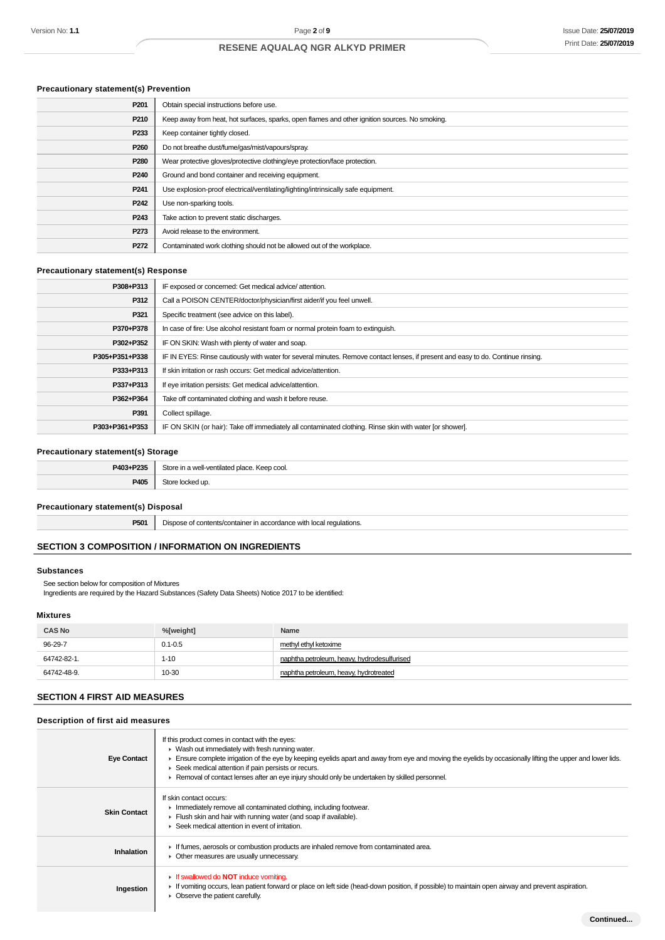## **Precautionary statement(s) Prevention**

| P <sub>201</sub> | Obtain special instructions before use.                                                        |
|------------------|------------------------------------------------------------------------------------------------|
| P210             | Keep away from heat, hot surfaces, sparks, open flames and other ignition sources. No smoking. |
| P233             | Keep container tightly closed.                                                                 |
| P <sub>260</sub> | Do not breathe dust/fume/gas/mist/vapours/spray.                                               |
| P280             | Wear protective gloves/protective clothing/eye protection/face protection.                     |
| P <sub>240</sub> | Ground and bond container and receiving equipment.                                             |
| P <sub>241</sub> | Use explosion-proof electrical/ventilating/lighting/intrinsically safe equipment.              |
| P <sub>242</sub> | Use non-sparking tools.                                                                        |
| P <sub>243</sub> | Take action to prevent static discharges.                                                      |
| P273             | Avoid release to the environment.                                                              |
| P272             | Contaminated work clothing should not be allowed out of the workplace.                         |

### **Precautionary statement(s) Response**

| P308+P313      | IF exposed or concerned: Get medical advice/attention.                                                                           |  |
|----------------|----------------------------------------------------------------------------------------------------------------------------------|--|
| P312           | Call a POISON CENTER/doctor/physician/first aider/if you feel unwell.                                                            |  |
| P321           | Specific treatment (see advice on this label).                                                                                   |  |
| P370+P378      | In case of fire: Use alcohol resistant foam or normal protein foam to extinguish.                                                |  |
| P302+P352      | IF ON SKIN: Wash with plenty of water and soap.                                                                                  |  |
| P305+P351+P338 | IF IN EYES: Rinse cautiously with water for several minutes. Remove contact lenses, if present and easy to do. Continue rinsing. |  |
| P333+P313      | If skin irritation or rash occurs: Get medical advice/attention.                                                                 |  |
| P337+P313      | If eye irritation persists: Get medical advice/attention.                                                                        |  |
| P362+P364      | Take off contaminated clothing and wash it before reuse.                                                                         |  |
| P391           | Collect spillage.                                                                                                                |  |
| P303+P361+P353 | IF ON SKIN (or hair): Take off immediately all contaminated clothing. Rinse skin with water [or shower].                         |  |

### **Precautionary statement(s) Storage**

| <b>DA03+D235</b><br>-25<br>40J+1 | Store in a well-ventilated place. Keep cool. |  |
|----------------------------------|----------------------------------------------|--|
| P405                             | ockea up.                                    |  |

### **Precautionary statement(s) Disposal**

**P501** Dispose of contents/container in accordance with local regulations.

## **SECTION 3 COMPOSITION / INFORMATION ON INGREDIENTS**

### **Substances**

See section below for composition of Mixtures

Ingredients are required by the Hazard Substances (Safety Data Sheets) Notice 2017 to be identified:

### **Mixtures**

| <b>CAS No</b> | %[weight]   | Name                                        |
|---------------|-------------|---------------------------------------------|
| 96-29-7       | $0.1 - 0.5$ | methyl ethyl ketoxime                       |
| 64742-82-1.   | $1 - 10$    | naphtha petroleum, heavy, hydrodesulfurised |
| 64742-48-9.   | 10-30       | naphtha petroleum, heavy, hydrotreated      |

### **SECTION 4 FIRST AID MEASURES**

#### **Description of first aid measures**

| <b>Eye Contact</b>  | If this product comes in contact with the eyes:<br>$\blacktriangleright$ Wash out immediately with fresh running water.<br>Ensure complete irrigation of the eye by keeping eyelids apart and away from eye and moving the eyelids by occasionally lifting the upper and lower lids.<br>▶ Seek medical attention if pain persists or recurs.<br>► Removal of contact lenses after an eye injury should only be undertaken by skilled personnel. |
|---------------------|-------------------------------------------------------------------------------------------------------------------------------------------------------------------------------------------------------------------------------------------------------------------------------------------------------------------------------------------------------------------------------------------------------------------------------------------------|
| <b>Skin Contact</b> | If skin contact occurs:<br>In mediately remove all contaminated clothing, including footwear.<br>Flush skin and hair with running water (and soap if available).<br>▶ Seek medical attention in event of irritation.                                                                                                                                                                                                                            |
| Inhalation          | If fumes, aerosols or combustion products are inhaled remove from contaminated area.<br>• Other measures are usually unnecessary.                                                                                                                                                                                                                                                                                                               |
| Ingestion           | <b>If swallowed do NOT induce vomiting.</b><br>If vomiting occurs, lean patient forward or place on left side (head-down position, if possible) to maintain open airway and prevent aspiration.<br>Observe the patient carefully.                                                                                                                                                                                                               |
|                     | Continued                                                                                                                                                                                                                                                                                                                                                                                                                                       |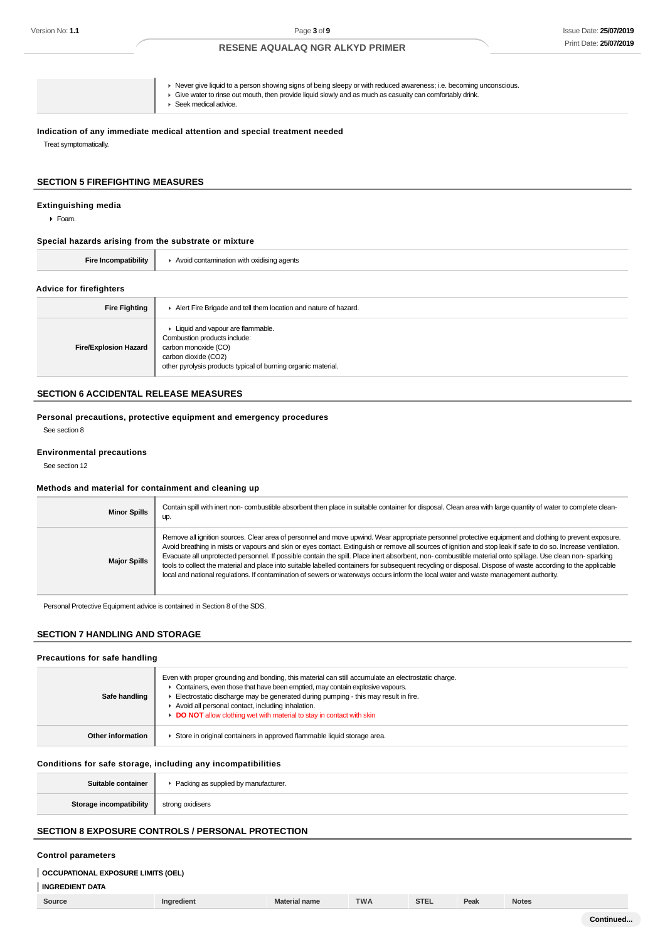| $\blacktriangleright$ Seek medical advice. |
|--------------------------------------------|
|--------------------------------------------|

### **Indication of any immediate medical attention and special treatment needed**

Treat symptomatically.

#### **SECTION 5 FIREFIGHTING MEASURES**

#### **Extinguishing media**

Foam.

**Special hazards arising from the substrate or mixture**

| Fire Incompatibility           | $\blacktriangleright$ Avoid contamination with oxidising agents                                                                                                                     |  |  |
|--------------------------------|-------------------------------------------------------------------------------------------------------------------------------------------------------------------------------------|--|--|
| <b>Advice for firefighters</b> |                                                                                                                                                                                     |  |  |
| <b>Fire Fighting</b>           | Alert Fire Brigade and tell them location and nature of hazard.                                                                                                                     |  |  |
| <b>Fire/Explosion Hazard</b>   | • Liquid and vapour are flammable.<br>Combustion products include:<br>carbon monoxide (CO)<br>carbon dioxide (CO2)<br>other pyrolysis products typical of burning organic material. |  |  |

## **SECTION 6 ACCIDENTAL RELEASE MEASURES**

**Personal precautions, protective equipment and emergency procedures** See section 8

#### **Environmental precautions**

See section 12

#### **Methods and material for containment and cleaning up** T)

| <b>Minor Spills</b> | Contain spill with inert non-combustible absorbent then place in suitable container for disposal. Clean area with large quantity of water to complete clean-<br>up.                                                                                                                                                                                                                                                                                                                                                                                                                                                                                                                                                                                                                                |
|---------------------|----------------------------------------------------------------------------------------------------------------------------------------------------------------------------------------------------------------------------------------------------------------------------------------------------------------------------------------------------------------------------------------------------------------------------------------------------------------------------------------------------------------------------------------------------------------------------------------------------------------------------------------------------------------------------------------------------------------------------------------------------------------------------------------------------|
| <b>Major Spills</b> | Remove all ignition sources. Clear area of personnel and move upwind. Wear appropriate personnel protective equipment and clothing to prevent exposure.<br>Avoid breathing in mists or vapours and skin or eyes contact. Extinguish or remove all sources of ignition and stop leak if safe to do so. Increase ventilation.<br>Evacuate all unprotected personnel. If possible contain the spill. Place inert absorbent, non- combustible material onto spillage. Use clean non- sparking<br>tools to collect the material and place into suitable labelled containers for subsequent recycling or disposal. Dispose of waste according to the applicable<br>local and national regulations. If contamination of sewers or waterways occurs inform the local water and waste management authority. |

Personal Protective Equipment advice is contained in Section 8 of the SDS.

## **SECTION 7 HANDLING AND STORAGE**

#### **Precautions for safe handling**

| Safe handling     | Even with proper grounding and bonding, this material can still accumulate an electrostatic charge.<br>• Containers, even those that have been emptied, may contain explosive vapours.<br>Electrostatic discharge may be generated during pumping - this may result in fire.<br>Avoid all personal contact, including inhalation.<br><b>DO NOT</b> allow clothing wet with material to stay in contact with skin |
|-------------------|------------------------------------------------------------------------------------------------------------------------------------------------------------------------------------------------------------------------------------------------------------------------------------------------------------------------------------------------------------------------------------------------------------------|
| Other information | Store in original containers in approved flammable liquid storage area.                                                                                                                                                                                                                                                                                                                                          |

#### **Conditions for safe storage, including any incompatibilities**

| Suitable container      | ▶ Packing as supplied by manufacturer. |
|-------------------------|----------------------------------------|
| Storage incompatibility | strong oxidisers                       |

## **SECTION 8 EXPOSURE CONTROLS / PERSONAL PROTECTION**

#### **Control parameters**

## **INGREDIENT DATA**

| Source | Ingredient | <b>Material name</b> | <b>TWA</b> | STE. | Peak | <b>Notes</b> |
|--------|------------|----------------------|------------|------|------|--------------|
|        |            |                      |            |      |      |              |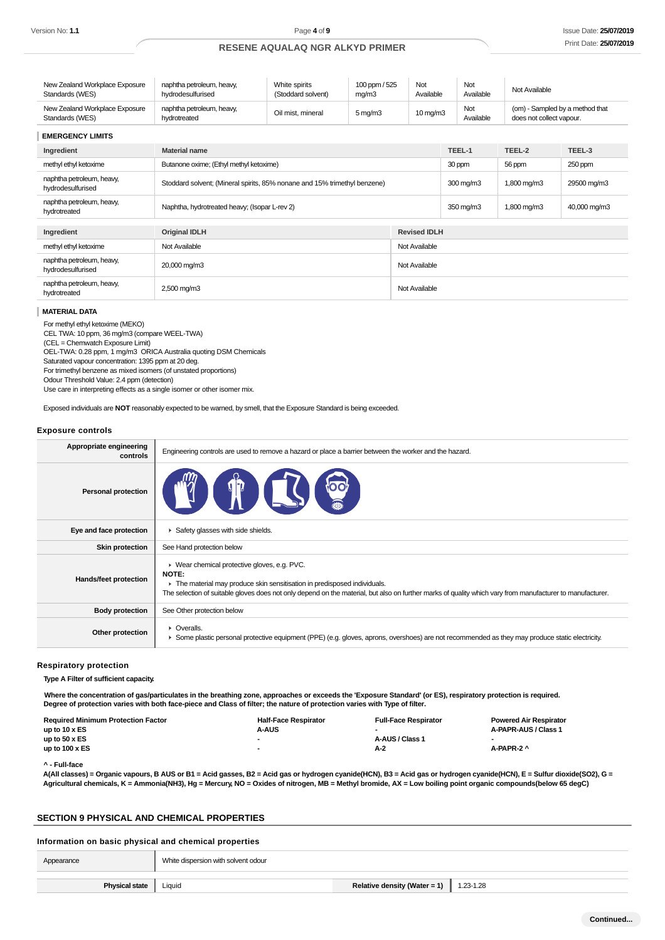| New Zealand Workplace Exposure                    | naphtha petroleum, heavy,                 | White spirits      | 100 ppm / 525         | Not               | Not              | Not Available                                               |
|---------------------------------------------------|-------------------------------------------|--------------------|-----------------------|-------------------|------------------|-------------------------------------------------------------|
| Standards (WES)                                   | hydrodesulfurised                         | (Stoddard solvent) | ma/m3                 | Available         | Available        |                                                             |
| New Zealand Workplace Exposure<br>Standards (WES) | naphtha petroleum, heavy,<br>hvdrotreated | Oil mist, mineral  | $5 \,\mathrm{mq/m}$ 3 | $10 \text{ mg/m}$ | Not<br>Available | (om) - Sampled by a method that<br>does not collect vapour. |

| <b>EMERGENCY LIMITS</b>                        |                                                                           |                     |                    |              |             |  |
|------------------------------------------------|---------------------------------------------------------------------------|---------------------|--------------------|--------------|-------------|--|
| Ingredient                                     | <b>Material name</b>                                                      | TEEL-1              | TEEL-2             | TEEL-3       |             |  |
| methyl ethyl ketoxime                          | Butanone oxime; (Ethyl methyl ketoxime)                                   | 30 ppm              | 56 ppm             | 250 ppm      |             |  |
| naphtha petroleum, heavy,<br>hydrodesulfurised | Stoddard solvent; (Mineral spirits, 85% nonane and 15% trimethyl benzene) |                     | $300 \text{ mg/m}$ | 1,800 mg/m3  | 29500 mg/m3 |  |
| naphtha petroleum, heavy,<br>hydrotreated      | Naphtha, hydrotreated heavy; (Isopar L-rev 2)                             | 350 mg/m3           | 1,800 mg/m3        | 40,000 mg/m3 |             |  |
| Ingredient                                     | <b>Original IDLH</b>                                                      | <b>Revised IDLH</b> |                    |              |             |  |
| methyl ethyl ketoxime                          | Not Available<br>Not Available                                            |                     |                    |              |             |  |
| naphtha petroleum, heavy,<br>hydrodesulfurised | 20,000 mg/m3<br>Not Available                                             |                     |                    |              |             |  |
| naphtha petroleum, heavy,<br>hydrotreated      | 2,500 mg/m3<br>Not Available                                              |                     |                    |              |             |  |

#### **MATERIAL DATA**

For methyl ethyl ketoxime (MEKO)

CEL TWA: 10 ppm, 36 mg/m3 (compare WEEL-TWA)

(CEL = Chemwatch Exposure Limit) OEL-TWA: 0.28 ppm, 1 mg/m3 ORICA Australia quoting DSM Chemicals

Saturated vapour concentration: 1395 ppm at 20 deg.

For trimethyl benzene as mixed isomers (of unstated proportions)

Odour Threshold Value: 2.4 ppm (detection)

Use care in interpreting effects as a single isomer or other isomer mix.

Exposed individuals are **NOT** reasonably expected to be warned, by smell, that the Exposure Standard is being exceeded.

#### **Exposure controls**

| Appropriate engineering<br>controls | Engineering controls are used to remove a hazard or place a barrier between the worker and the hazard.                                                                                                                                                                                               |
|-------------------------------------|------------------------------------------------------------------------------------------------------------------------------------------------------------------------------------------------------------------------------------------------------------------------------------------------------|
| <b>Personal protection</b>          | <b>Allege</b>                                                                                                                                                                                                                                                                                        |
| Eye and face protection             | Safety glasses with side shields.                                                                                                                                                                                                                                                                    |
| <b>Skin protection</b>              | See Hand protection below                                                                                                                                                                                                                                                                            |
| Hands/feet protection               | ▶ Wear chemical protective gloves, e.g. PVC.<br><b>NOTE:</b><br>The material may produce skin sensitisation in predisposed individuals.<br>The selection of suitable gloves does not only depend on the material, but also on further marks of quality which vary from manufacturer to manufacturer. |
| <b>Body protection</b>              | See Other protection below                                                                                                                                                                                                                                                                           |
| Other protection                    | • Overalls.<br>> Some plastic personal protective equipment (PPE) (e.g. gloves, aprons, overshoes) are not recommended as they may produce static electricity.                                                                                                                                       |
|                                     |                                                                                                                                                                                                                                                                                                      |

**Respiratory protection**

**Type A Filter of sufficient capacity.**

**Where the concentration of gas/particulates in the breathing zone, approaches or exceeds the 'Exposure Standard' (or ES), respiratory protection is required. Degree of protection varies with both face-piece and Class of filter; the nature of protection varies with Type of filter.**

| <b>Required Minimum Protection Factor</b> | <b>Half-Face Respirator</b> | <b>Full-Face Respirator</b> | <b>Powered Air Respirator</b> |
|-------------------------------------------|-----------------------------|-----------------------------|-------------------------------|
| up to $10 \times ES$                      | <b>A-AUS</b>                |                             | A-PAPR-AUS / Class 1          |
| up to $50 \times ES$                      |                             | A-AUS / Class 1             |                               |
| up to $100 \times ES$                     |                             | A-2                         | A-PAPR-2 ^                    |
|                                           |                             |                             |                               |

**^ - Full-face**

**A(All classes) = Organic vapours, B AUS or B1 = Acid gasses, B2 = Acid gas or hydrogen cyanide(HCN), B3 = Acid gas or hydrogen cyanide(HCN), E = Sulfur dioxide(SO2), G = Agricultural chemicals, K = Ammonia(NH3), Hg = Mercury, NO = Oxides of nitrogen, MB = Methyl bromide, AX = Low boiling point organic compounds(below 65 degC)**

### **SECTION 9 PHYSICAL AND CHEMICAL PROPERTIES**

#### **Information on basic physical and chemical properties**

| Appearance            | White dispersion with solvent odour |                              |           |
|-----------------------|-------------------------------------|------------------------------|-----------|
| <b>Physical state</b> | Liquid                              | Relative density (Water = 1) | 1.23-1.28 |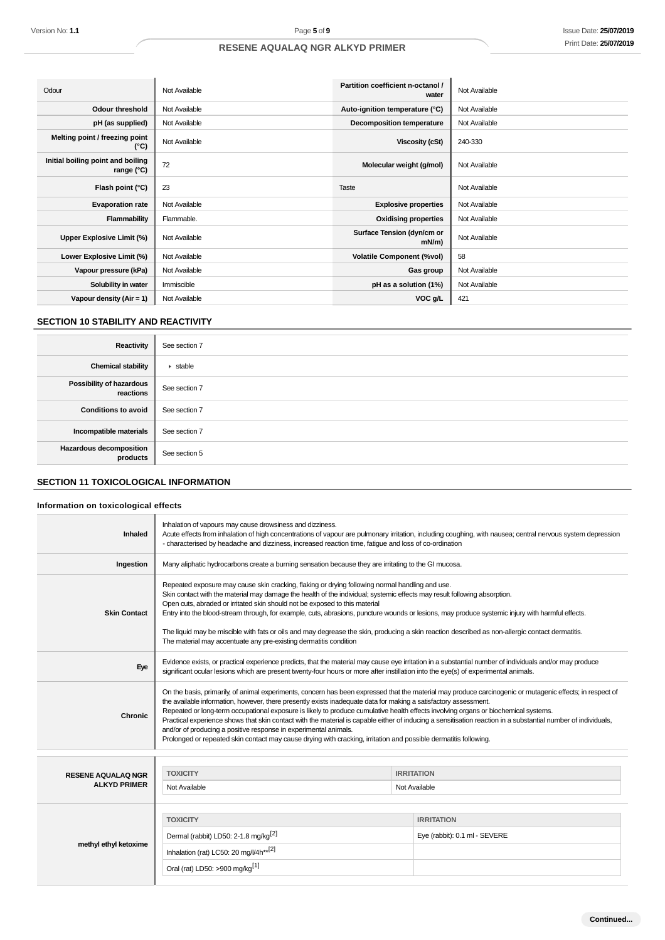| Odour                                           | Not Available | Partition coefficient n-octanol /<br>water | Not Available |
|-------------------------------------------------|---------------|--------------------------------------------|---------------|
| Odour threshold                                 | Not Available | Auto-ignition temperature (°C)             | Not Available |
| pH (as supplied)                                | Not Available | <b>Decomposition temperature</b>           | Not Available |
| Melting point / freezing point<br>(°C)          | Not Available | Viscosity (cSt)                            | 240-330       |
| Initial boiling point and boiling<br>range (°C) | 72            | Molecular weight (g/mol)                   | Not Available |
| Flash point (°C)                                | 23            | Taste                                      | Not Available |
| <b>Evaporation rate</b>                         | Not Available | <b>Explosive properties</b>                | Not Available |
| Flammability                                    | Flammable.    | <b>Oxidising properties</b>                | Not Available |
| Upper Explosive Limit (%)                       | Not Available | Surface Tension (dyn/cm or<br>mN/m         | Not Available |
| Lower Explosive Limit (%)                       | Not Available | <b>Volatile Component (%vol)</b>           | 58            |
| Vapour pressure (kPa)                           | Not Available | Gas group                                  | Not Available |
| Solubility in water                             | Immiscible    | pH as a solution (1%)                      | Not Available |
| Vapour density $(Air = 1)$                      | Not Available | VOC g/L                                    | 421           |

## **SECTION 10 STABILITY AND REACTIVITY**

| Reactivity                                   | See section 7                |
|----------------------------------------------|------------------------------|
| <b>Chemical stability</b>                    | $\blacktriangleright$ stable |
| <b>Possibility of hazardous</b><br>reactions | See section 7                |
| <b>Conditions to avoid</b>                   | See section 7                |
| Incompatible materials                       | See section 7                |
| Hazardous decomposition<br>products          | See section 5                |

## **SECTION 11 TOXICOLOGICAL INFORMATION**

## **Information on toxicological effects**

| Version No: 1.1                                          | Page 5 of 9                                                                                                                                                                                                                                                                                                                                                                                                                                                                                                                                                                                                                                                                                                                                                                   |                                            | Issue Date: 25/07/201                                                                                                                                       |
|----------------------------------------------------------|-------------------------------------------------------------------------------------------------------------------------------------------------------------------------------------------------------------------------------------------------------------------------------------------------------------------------------------------------------------------------------------------------------------------------------------------------------------------------------------------------------------------------------------------------------------------------------------------------------------------------------------------------------------------------------------------------------------------------------------------------------------------------------|--------------------------------------------|-------------------------------------------------------------------------------------------------------------------------------------------------------------|
|                                                          | <b>RESENE AQUALAQ NGR ALKYD PRIMER</b>                                                                                                                                                                                                                                                                                                                                                                                                                                                                                                                                                                                                                                                                                                                                        |                                            | Print Date: 25/07/201                                                                                                                                       |
|                                                          |                                                                                                                                                                                                                                                                                                                                                                                                                                                                                                                                                                                                                                                                                                                                                                               |                                            |                                                                                                                                                             |
|                                                          |                                                                                                                                                                                                                                                                                                                                                                                                                                                                                                                                                                                                                                                                                                                                                                               |                                            |                                                                                                                                                             |
| Odour                                                    | Not Available                                                                                                                                                                                                                                                                                                                                                                                                                                                                                                                                                                                                                                                                                                                                                                 | Partition coefficient n-octanol /<br>water | Not Available                                                                                                                                               |
| Odour threshold                                          | Not Available                                                                                                                                                                                                                                                                                                                                                                                                                                                                                                                                                                                                                                                                                                                                                                 | Auto-ignition temperature (°C)             | Not Available                                                                                                                                               |
| pH (as supplied)                                         | Not Available                                                                                                                                                                                                                                                                                                                                                                                                                                                                                                                                                                                                                                                                                                                                                                 | <b>Decomposition temperature</b>           | Not Available                                                                                                                                               |
| Melting point / freezing point<br>(°C)                   | Not Available                                                                                                                                                                                                                                                                                                                                                                                                                                                                                                                                                                                                                                                                                                                                                                 | <b>Viscosity (cSt)</b>                     | 240-330                                                                                                                                                     |
| Initial boiling point and boiling<br>range $(^{\circ}C)$ | 72                                                                                                                                                                                                                                                                                                                                                                                                                                                                                                                                                                                                                                                                                                                                                                            | Molecular weight (g/mol)                   | Not Available                                                                                                                                               |
| Flash point (°C)                                         | 23                                                                                                                                                                                                                                                                                                                                                                                                                                                                                                                                                                                                                                                                                                                                                                            | Taste                                      | Not Available                                                                                                                                               |
| <b>Evaporation rate</b>                                  | Not Available                                                                                                                                                                                                                                                                                                                                                                                                                                                                                                                                                                                                                                                                                                                                                                 | <b>Explosive properties</b>                | Not Available                                                                                                                                               |
| <b>Flammability</b>                                      | Flammable.                                                                                                                                                                                                                                                                                                                                                                                                                                                                                                                                                                                                                                                                                                                                                                    | <b>Oxidising properties</b>                | Not Available                                                                                                                                               |
| Upper Explosive Limit (%)                                | Not Available                                                                                                                                                                                                                                                                                                                                                                                                                                                                                                                                                                                                                                                                                                                                                                 | Surface Tension (dyn/cm or<br>mN/m)        | Not Available                                                                                                                                               |
| Lower Explosive Limit (%)                                | Not Available                                                                                                                                                                                                                                                                                                                                                                                                                                                                                                                                                                                                                                                                                                                                                                 | <b>Volatile Component (%vol)</b>           | 58                                                                                                                                                          |
| Vapour pressure (kPa)                                    | Not Available                                                                                                                                                                                                                                                                                                                                                                                                                                                                                                                                                                                                                                                                                                                                                                 | Gas group                                  | Not Available                                                                                                                                               |
| Solubility in water                                      | Immiscible                                                                                                                                                                                                                                                                                                                                                                                                                                                                                                                                                                                                                                                                                                                                                                    | pH as a solution (1%)                      | Not Available                                                                                                                                               |
| Vapour density (Air = 1)                                 | Not Available                                                                                                                                                                                                                                                                                                                                                                                                                                                                                                                                                                                                                                                                                                                                                                 | VOC g/L                                    | 421                                                                                                                                                         |
| <b>SECTION 10 STABILITY AND REACTIVITY</b>               |                                                                                                                                                                                                                                                                                                                                                                                                                                                                                                                                                                                                                                                                                                                                                                               |                                            |                                                                                                                                                             |
| <b>Reactivity</b>                                        | See section 7                                                                                                                                                                                                                                                                                                                                                                                                                                                                                                                                                                                                                                                                                                                                                                 |                                            |                                                                                                                                                             |
| <b>Chemical stability</b>                                | $\blacktriangleright$ stable                                                                                                                                                                                                                                                                                                                                                                                                                                                                                                                                                                                                                                                                                                                                                  |                                            |                                                                                                                                                             |
| Possibility of hazardous<br>reactions                    | See section 7                                                                                                                                                                                                                                                                                                                                                                                                                                                                                                                                                                                                                                                                                                                                                                 |                                            |                                                                                                                                                             |
| <b>Conditions to avoid</b>                               | See section 7                                                                                                                                                                                                                                                                                                                                                                                                                                                                                                                                                                                                                                                                                                                                                                 |                                            |                                                                                                                                                             |
| Incompatible materials                                   | See section 7                                                                                                                                                                                                                                                                                                                                                                                                                                                                                                                                                                                                                                                                                                                                                                 |                                            |                                                                                                                                                             |
| Hazardous decomposition<br>products                      | See section 5                                                                                                                                                                                                                                                                                                                                                                                                                                                                                                                                                                                                                                                                                                                                                                 |                                            |                                                                                                                                                             |
| <b>SECTION 11 TOXICOLOGICAL INFORMATION</b>              |                                                                                                                                                                                                                                                                                                                                                                                                                                                                                                                                                                                                                                                                                                                                                                               |                                            |                                                                                                                                                             |
| Information on toxicological effects                     |                                                                                                                                                                                                                                                                                                                                                                                                                                                                                                                                                                                                                                                                                                                                                                               |                                            |                                                                                                                                                             |
| Inhaled                                                  | Inhalation of vapours may cause drowsiness and dizziness.<br>- characterised by headache and dizziness, increased reaction time, fatigue and loss of co-ordination                                                                                                                                                                                                                                                                                                                                                                                                                                                                                                                                                                                                            |                                            | Acute effects from inhalation of high concentrations of vapour are pulmonary irritation, including coughing, with nausea; central nervous system depression |
| Ingestion                                                | Many aliphatic hydrocarbons create a burning sensation because they are irritating to the GI mucosa.                                                                                                                                                                                                                                                                                                                                                                                                                                                                                                                                                                                                                                                                          |                                            |                                                                                                                                                             |
| <b>Skin Contact</b>                                      | Repeated exposure may cause skin cracking, flaking or drying following normal handling and use.<br>Skin contact with the material may damage the health of the individual; systemic effects may result following absorption.<br>Open cuts, abraded or irritated skin should not be exposed to this material<br>Entry into the blood-stream through, for example, cuts, abrasions, puncture wounds or lesions, may produce systemic injury with harmful effects.<br>The liquid may be miscible with fats or oils and may degrease the skin, producing a skin reaction described as non-allergic contact dermatitis.<br>The material may accentuate any pre-existing dermatitis condition                                                                                       |                                            |                                                                                                                                                             |
| Eye                                                      | Evidence exists, or practical experience predicts, that the material may cause eye irritation in a substantial number of individuals and/or may produce<br>significant ocular lesions which are present twenty-four hours or more after instillation into the eye(s) of experimental animals.                                                                                                                                                                                                                                                                                                                                                                                                                                                                                 |                                            |                                                                                                                                                             |
| <b>Chronic</b>                                           | On the basis, primarily, of animal experiments, concern has been expressed that the material may produce carcinogenic or mutagenic effects; in respect of<br>the available information, however, there presently exists inadequate data for making a satisfactory assessment.<br>Repeated or long-term occupational exposure is likely to produce cumulative health effects involving organs or biochemical systems.<br>Practical experience shows that skin contact with the material is capable either of inducing a sensitisation reaction in a substantial number of individuals,<br>and/or of producing a positive response in experimental animals.<br>Prolonged or repeated skin contact may cause drying with cracking, irritation and possible dermatitis following. |                                            |                                                                                                                                                             |
|                                                          |                                                                                                                                                                                                                                                                                                                                                                                                                                                                                                                                                                                                                                                                                                                                                                               |                                            |                                                                                                                                                             |
| <b>RESENE AQUALAQ NGR</b><br><b>ALKYD PRIMER</b>         | <b>TOXICITY</b><br>Not Available                                                                                                                                                                                                                                                                                                                                                                                                                                                                                                                                                                                                                                                                                                                                              | <b>IRRITATION</b><br>Not Available         |                                                                                                                                                             |
|                                                          |                                                                                                                                                                                                                                                                                                                                                                                                                                                                                                                                                                                                                                                                                                                                                                               |                                            |                                                                                                                                                             |
|                                                          | <b>TOXICITY</b>                                                                                                                                                                                                                                                                                                                                                                                                                                                                                                                                                                                                                                                                                                                                                               | <b>IRRITATION</b>                          |                                                                                                                                                             |
|                                                          | Dermal (rabbit) LD50: 2-1.8 mg/kg <sup>[2]</sup>                                                                                                                                                                                                                                                                                                                                                                                                                                                                                                                                                                                                                                                                                                                              |                                            | Eye (rabbit): 0.1 ml - SEVERE                                                                                                                               |
| methyl ethyl ketoxime                                    | Inhalation (rat) LC50: 20 mg/l/4h**[2]                                                                                                                                                                                                                                                                                                                                                                                                                                                                                                                                                                                                                                                                                                                                        |                                            |                                                                                                                                                             |
|                                                          | Oral (rat) LD50: >900 mg/kg <sup>[1]</sup>                                                                                                                                                                                                                                                                                                                                                                                                                                                                                                                                                                                                                                                                                                                                    |                                            |                                                                                                                                                             |
|                                                          |                                                                                                                                                                                                                                                                                                                                                                                                                                                                                                                                                                                                                                                                                                                                                                               |                                            |                                                                                                                                                             |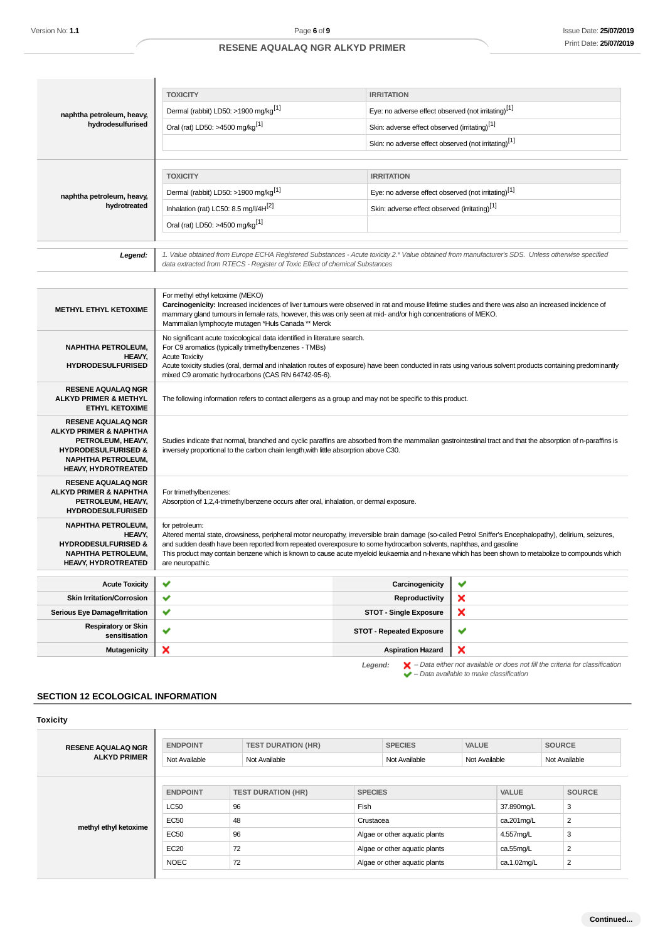| naphtha petroleum, heavy,                                      | <b>TOXICITY</b>                                                                                                                                                                                                                                                                                      | <b>IRRITATION</b>                                                |   |  |  |
|----------------------------------------------------------------|------------------------------------------------------------------------------------------------------------------------------------------------------------------------------------------------------------------------------------------------------------------------------------------------------|------------------------------------------------------------------|---|--|--|
|                                                                | Dermal (rabbit) LD50: >1900 mg/kg <sup>[1]</sup><br>Eye: no adverse effect observed (not irritating) <sup>[1]</sup>                                                                                                                                                                                  |                                                                  |   |  |  |
| hydrodesulfurised                                              | Oral (rat) LD50: >4500 mg/kg <sup>[1]</sup>                                                                                                                                                                                                                                                          | Skin: adverse effect observed (irritating)[1]                    |   |  |  |
|                                                                |                                                                                                                                                                                                                                                                                                      | Skin: no adverse effect observed (not irritating) <sup>[1]</sup> |   |  |  |
|                                                                |                                                                                                                                                                                                                                                                                                      |                                                                  |   |  |  |
|                                                                | <b>TOXICITY</b>                                                                                                                                                                                                                                                                                      | <b>IRRITATION</b>                                                |   |  |  |
| naphtha petroleum, heavy,                                      | Eye: no adverse effect observed (not irritating) <sup>[1]</sup><br>Dermal (rabbit) LD50: >1900 mg/kg <sup>[1]</sup>                                                                                                                                                                                  |                                                                  |   |  |  |
| hydrotreated                                                   | Inhalation (rat) LC50: 8.5 mg/l/4H <sup>[2]</sup>                                                                                                                                                                                                                                                    | Skin: adverse effect observed (irritating) <sup>[1]</sup>        |   |  |  |
|                                                                | Oral (rat) LD50: >4500 mg/kg <sup>[1]</sup>                                                                                                                                                                                                                                                          |                                                                  |   |  |  |
|                                                                |                                                                                                                                                                                                                                                                                                      |                                                                  |   |  |  |
| Legend:                                                        | 1. Value obtained from Europe ECHA Registered Substances - Acute toxicity 2.* Value obtained from manufacturer's SDS. Unless otherwise specified<br>data extracted from RTECS - Register of Toxic Effect of chemical Substances                                                                      |                                                                  |   |  |  |
|                                                                |                                                                                                                                                                                                                                                                                                      |                                                                  |   |  |  |
| <b>METHYL ETHYL KETOXIME</b>                                   | For methyl ethyl ketoxime (MEKO)<br>Carcinogenicity: Increased incidences of liver tumours were observed in rat and mouse lifetime studies and there was also an increased incidence of                                                                                                              |                                                                  |   |  |  |
|                                                                | mammary gland tumours in female rats, however, this was only seen at mid- and/or high concentrations of MEKO.<br>Mammalian lymphocyte mutagen *Huls Canada ** Merck                                                                                                                                  |                                                                  |   |  |  |
| <b>NAPHTHA PETROLEUM,</b>                                      | No significant acute toxicological data identified in literature search.                                                                                                                                                                                                                             |                                                                  |   |  |  |
| HEAVY.                                                         | For C9 aromatics (typically trimethylbenzenes - TMBs)<br><b>Acute Toxicity</b><br>Acute toxicity studies (oral, dermal and inhalation routes of exposure) have been conducted in rats using various solvent products containing predominantly<br>mixed C9 aromatic hydrocarbons (CAS RN 64742-95-6). |                                                                  |   |  |  |
| <b>HYDRODESULFURISED</b>                                       |                                                                                                                                                                                                                                                                                                      |                                                                  |   |  |  |
| <b>RESENE AQUALAQ NGR</b>                                      |                                                                                                                                                                                                                                                                                                      |                                                                  |   |  |  |
| <b>ALKYD PRIMER &amp; METHYL</b><br><b>ETHYL KETOXIME</b>      | The following information refers to contact allergens as a group and may not be specific to this product.                                                                                                                                                                                            |                                                                  |   |  |  |
| <b>RESENE AQUALAQ NGR</b><br><b>ALKYD PRIMER &amp; NAPHTHA</b> |                                                                                                                                                                                                                                                                                                      |                                                                  |   |  |  |
| PETROLEUM, HEAVY,                                              | Studies indicate that normal, branched and cyclic paraffins are absorbed from the mammalian gastrointestinal tract and that the absorption of n-paraffins is                                                                                                                                         |                                                                  |   |  |  |
| <b>HYDRODESULFURISED &amp;</b><br><b>NAPHTHA PETROLEUM,</b>    | inversely proportional to the carbon chain length, with little absorption above C30.                                                                                                                                                                                                                 |                                                                  |   |  |  |
| <b>HEAVY, HYDROTREATED</b>                                     |                                                                                                                                                                                                                                                                                                      |                                                                  |   |  |  |
| <b>RESENE AQUALAQ NGR</b><br><b>ALKYD PRIMER &amp; NAPHTHA</b> | For trimethylbenzenes:                                                                                                                                                                                                                                                                               |                                                                  |   |  |  |
| PETROLEUM, HEAVY,                                              | Absorption of 1,2,4-trimethylbenzene occurs after oral, inhalation, or dermal exposure.                                                                                                                                                                                                              |                                                                  |   |  |  |
| <b>HYDRODESULFURISED</b><br><b>NAPHTHA PETROLEUM,</b>          |                                                                                                                                                                                                                                                                                                      |                                                                  |   |  |  |
| HEAVY,                                                         | for petroleum:<br>Altered mental state, drowsiness, peripheral motor neuropathy, irreversible brain damage (so-called Petrol Sniffer's Encephalopathy), delirium, seizures,                                                                                                                          |                                                                  |   |  |  |
| <b>HYDRODESULFURISED &amp;</b><br><b>NAPHTHA PETROLEUM,</b>    | and sudden death have been reported from repeated overexposure to some hydrocarbon solvents, naphthas, and gasoline<br>This product may contain benzene which is known to cause acute myeloid leukaemia and n-hexane which has been shown to metabolize to compounds which                           |                                                                  |   |  |  |
| <b>HEAVY, HYDROTREATED</b>                                     | are neuropathic.                                                                                                                                                                                                                                                                                     |                                                                  |   |  |  |
| <b>Acute Toxicity</b>                                          | ✔                                                                                                                                                                                                                                                                                                    | Carcinogenicity                                                  | ✔ |  |  |
| <b>Skin Irritation/Corrosion</b>                               | ✔                                                                                                                                                                                                                                                                                                    | Reproductivity                                                   | × |  |  |
| <b>Serious Eye Damage/Irritation</b>                           | ✔                                                                                                                                                                                                                                                                                                    | <b>STOT - Single Exposure</b>                                    | × |  |  |
| <b>Respiratory or Skin</b><br>sensitisation                    | ✔                                                                                                                                                                                                                                                                                                    | <b>STOT - Repeated Exposure</b>                                  | ✔ |  |  |
| Mutagenicity                                                   | ×                                                                                                                                                                                                                                                                                                    | <b>Aspiration Hazard</b>                                         | × |  |  |
|                                                                |                                                                                                                                                                                                                                                                                                      |                                                                  |   |  |  |

## **SECTION 12 ECOLOGICAL INFORMATION**

| <b>Toxicity</b>           |                 |                           |                |                               |               |              |                |
|---------------------------|-----------------|---------------------------|----------------|-------------------------------|---------------|--------------|----------------|
| <b>RESENE AQUALAQ NGR</b> | <b>ENDPOINT</b> | <b>TEST DURATION (HR)</b> |                | <b>SPECIES</b>                | <b>VALUE</b>  |              | <b>SOURCE</b>  |
| <b>ALKYD PRIMER</b>       | Not Available   | Not Available             |                | Not Available                 | Not Available |              | Not Available  |
|                           | <b>ENDPOINT</b> | <b>TEST DURATION (HR)</b> | <b>SPECIES</b> |                               |               | <b>VALUE</b> | <b>SOURCE</b>  |
|                           | <b>LC50</b>     | 96                        | Fish           |                               |               | 37.890mg/L   | 3              |
| methyl ethyl ketoxime     | <b>EC50</b>     | 48                        | Crustacea      |                               |               | ca.201mg/L   | 2              |
|                           | <b>EC50</b>     | 96                        |                | Algae or other aquatic plants |               | 4.557mg/L    | 3              |
|                           | EC20            | 72                        |                | Algae or other aquatic plants |               | ca.55mg/L    | $\overline{2}$ |
|                           | <b>NOEC</b>     | 72                        |                | Algae or other aquatic plants |               | ca.1.02mg/L  | 2              |

**Legend:**  $\mathbb{X}$  – Data either not available or does not fill the criteria for classification<br>  $\bullet$  – Data available to make classification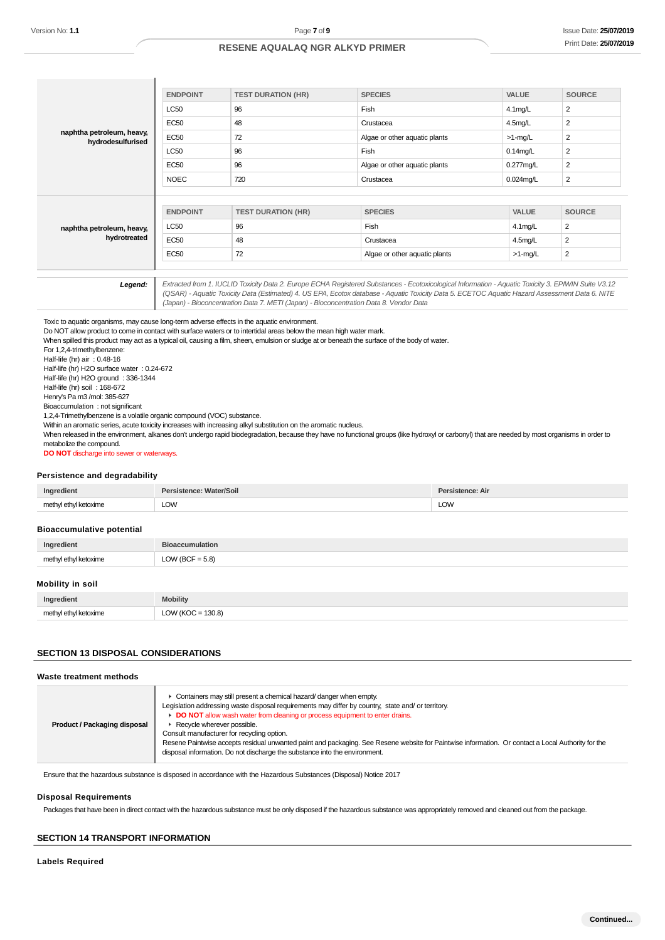| Version No: 1.1                                                                                                                                                                                                                                                                                                                                                                                         |                                          | Page 7 of 9                                                                                                                                                                                                                                                                                                                                                                         |                                                                                                                                                                                                |                  | <b>Issue Date: 25/07/20</b><br>Print Date: 25/07/20 |
|---------------------------------------------------------------------------------------------------------------------------------------------------------------------------------------------------------------------------------------------------------------------------------------------------------------------------------------------------------------------------------------------------------|------------------------------------------|-------------------------------------------------------------------------------------------------------------------------------------------------------------------------------------------------------------------------------------------------------------------------------------------------------------------------------------------------------------------------------------|------------------------------------------------------------------------------------------------------------------------------------------------------------------------------------------------|------------------|-----------------------------------------------------|
|                                                                                                                                                                                                                                                                                                                                                                                                         |                                          | <b>RESENE AQUALAQ NGR ALKYD PRIMER</b>                                                                                                                                                                                                                                                                                                                                              |                                                                                                                                                                                                |                  |                                                     |
|                                                                                                                                                                                                                                                                                                                                                                                                         |                                          |                                                                                                                                                                                                                                                                                                                                                                                     |                                                                                                                                                                                                |                  |                                                     |
|                                                                                                                                                                                                                                                                                                                                                                                                         | <b>ENDPOINT</b>                          | <b>TEST DURATION (HR)</b>                                                                                                                                                                                                                                                                                                                                                           | <b>SPECIES</b>                                                                                                                                                                                 | <b>VALUE</b>     | <b>SOURCE</b>                                       |
|                                                                                                                                                                                                                                                                                                                                                                                                         | <b>LC50</b>                              | 96                                                                                                                                                                                                                                                                                                                                                                                  | Fish                                                                                                                                                                                           | $4.1$ mg/L       | $\overline{2}$                                      |
|                                                                                                                                                                                                                                                                                                                                                                                                         | <b>EC50</b>                              | 48                                                                                                                                                                                                                                                                                                                                                                                  | Crustacea                                                                                                                                                                                      | 4.5mg/L          | $\overline{2}$                                      |
| naphtha petroleum, heavy,                                                                                                                                                                                                                                                                                                                                                                               | <b>EC50</b>                              | 72                                                                                                                                                                                                                                                                                                                                                                                  | Algae or other aquatic plants                                                                                                                                                                  | $>1$ -mg/L       | $\overline{2}$                                      |
| hydrodesulfurised                                                                                                                                                                                                                                                                                                                                                                                       | LC50                                     | 96                                                                                                                                                                                                                                                                                                                                                                                  | Fish                                                                                                                                                                                           | $0.14$ mg/L      | $\overline{2}$                                      |
|                                                                                                                                                                                                                                                                                                                                                                                                         | <b>EC50</b>                              | 96                                                                                                                                                                                                                                                                                                                                                                                  | Algae or other aquatic plants                                                                                                                                                                  | 0.277mg/L        | $\overline{2}$                                      |
|                                                                                                                                                                                                                                                                                                                                                                                                         | <b>NOEC</b>                              | 720                                                                                                                                                                                                                                                                                                                                                                                 | Crustacea                                                                                                                                                                                      | $0.024$ mg/L     | $\overline{2}$                                      |
|                                                                                                                                                                                                                                                                                                                                                                                                         |                                          |                                                                                                                                                                                                                                                                                                                                                                                     |                                                                                                                                                                                                |                  |                                                     |
|                                                                                                                                                                                                                                                                                                                                                                                                         | <b>ENDPOINT</b>                          | <b>TEST DURATION (HR)</b>                                                                                                                                                                                                                                                                                                                                                           | <b>SPECIES</b>                                                                                                                                                                                 | VALUE            | <b>SOURCE</b>                                       |
| naphtha petroleum, heavy,                                                                                                                                                                                                                                                                                                                                                                               | <b>LC50</b>                              | 96                                                                                                                                                                                                                                                                                                                                                                                  | Fish                                                                                                                                                                                           | 4.1mg/L          | 2                                                   |
| hydrotreated                                                                                                                                                                                                                                                                                                                                                                                            | <b>EC50</b>                              | 48                                                                                                                                                                                                                                                                                                                                                                                  | Crustacea                                                                                                                                                                                      | 4.5mg/L          | $\overline{2}$                                      |
|                                                                                                                                                                                                                                                                                                                                                                                                         | <b>EC50</b>                              | 72                                                                                                                                                                                                                                                                                                                                                                                  | Algae or other aquatic plants                                                                                                                                                                  | $>1$ -mg/L       | $\overline{2}$                                      |
|                                                                                                                                                                                                                                                                                                                                                                                                         |                                          |                                                                                                                                                                                                                                                                                                                                                                                     |                                                                                                                                                                                                |                  |                                                     |
| For 1,2,4-trimethylbenzene:<br>Half-life (hr) air: 0.48-16<br>Half-life (hr) H2O surface water: 0.24-672<br>Half-life (hr) H2O ground : 336-1344<br>Half-life (hr) soil: 168-672<br>Henry's Pa m3 /mol: 385-627<br>Bioaccumulation : not significant<br>1,2,4-Trimethylbenzene is a volatile organic compound (VOC) substance.<br>metabolize the compound.<br>DO NOT discharge into sewer or waterways. |                                          | Within an aromatic series, acute toxicity increases with increasing alkyl substitution on the aromatic nucleus.                                                                                                                                                                                                                                                                     | When released in the environment, alkanes don't undergo rapid biodegradation, because they have no functional groups (like hydroxyl or carbonyl) that are needed by most organisms in order to |                  |                                                     |
| Persistence and degradability                                                                                                                                                                                                                                                                                                                                                                           | <b>Persistence: Water/Soil</b>           |                                                                                                                                                                                                                                                                                                                                                                                     |                                                                                                                                                                                                | Persistence: Air |                                                     |
| Ingredient<br>methyl ethyl ketoxime                                                                                                                                                                                                                                                                                                                                                                     | <b>LOW</b>                               |                                                                                                                                                                                                                                                                                                                                                                                     | <b>LOW</b>                                                                                                                                                                                     |                  |                                                     |
|                                                                                                                                                                                                                                                                                                                                                                                                         |                                          |                                                                                                                                                                                                                                                                                                                                                                                     |                                                                                                                                                                                                |                  |                                                     |
| <b>Bioaccumulative potential</b>                                                                                                                                                                                                                                                                                                                                                                        |                                          |                                                                                                                                                                                                                                                                                                                                                                                     |                                                                                                                                                                                                |                  |                                                     |
| Ingredient                                                                                                                                                                                                                                                                                                                                                                                              | <b>Bioaccumulation</b>                   |                                                                                                                                                                                                                                                                                                                                                                                     |                                                                                                                                                                                                |                  |                                                     |
| methyl ethyl ketoxime                                                                                                                                                                                                                                                                                                                                                                                   | LOW (BCF = $5.8$ )                       |                                                                                                                                                                                                                                                                                                                                                                                     |                                                                                                                                                                                                |                  |                                                     |
| Mobility in soil                                                                                                                                                                                                                                                                                                                                                                                        |                                          |                                                                                                                                                                                                                                                                                                                                                                                     |                                                                                                                                                                                                |                  |                                                     |
|                                                                                                                                                                                                                                                                                                                                                                                                         |                                          |                                                                                                                                                                                                                                                                                                                                                                                     |                                                                                                                                                                                                |                  |                                                     |
| Ingredient<br>methyl ethyl ketoxime                                                                                                                                                                                                                                                                                                                                                                     | <b>Mobility</b><br>LOW ( $KOC = 130.8$ ) |                                                                                                                                                                                                                                                                                                                                                                                     |                                                                                                                                                                                                |                  |                                                     |
| <b>SECTION 13 DISPOSAL CONSIDERATIONS</b>                                                                                                                                                                                                                                                                                                                                                               |                                          |                                                                                                                                                                                                                                                                                                                                                                                     |                                                                                                                                                                                                |                  |                                                     |
| Waste treatment methods                                                                                                                                                                                                                                                                                                                                                                                 |                                          |                                                                                                                                                                                                                                                                                                                                                                                     |                                                                                                                                                                                                |                  |                                                     |
| <b>Product / Packaging disposal</b>                                                                                                                                                                                                                                                                                                                                                                     | Recycle wherever possible.               | Containers may still present a chemical hazard/ danger when empty.<br>Legislation addressing waste disposal requirements may differ by country, state and/ or territory.<br>DO NOT allow wash water from cleaning or process equipment to enter drains.<br>Consult manufacturer for recycling option.<br>disposal information. Do not discharge the substance into the environment. | Resene Paintwise accepts residual unwanted paint and packaging. See Resene website for Paintwise information. Or contact a Local Authority for the                                             |                  |                                                     |
|                                                                                                                                                                                                                                                                                                                                                                                                         |                                          | Ensure that the hazardous substance is disposed in accordance with the Hazardous Substances (Disposal) Notice 2017                                                                                                                                                                                                                                                                  |                                                                                                                                                                                                |                  |                                                     |
| <b>Disposal Requirements</b>                                                                                                                                                                                                                                                                                                                                                                            |                                          |                                                                                                                                                                                                                                                                                                                                                                                     |                                                                                                                                                                                                |                  |                                                     |
|                                                                                                                                                                                                                                                                                                                                                                                                         |                                          |                                                                                                                                                                                                                                                                                                                                                                                     |                                                                                                                                                                                                |                  |                                                     |
|                                                                                                                                                                                                                                                                                                                                                                                                         |                                          |                                                                                                                                                                                                                                                                                                                                                                                     | Packages that have been in direct contact with the hazardous substance must be only disposed if the hazardous substance was appropriately removed and cleaned out from the package.            |                  |                                                     |
| <b>SECTION 14 TRANSPORT INFORMATION</b>                                                                                                                                                                                                                                                                                                                                                                 |                                          |                                                                                                                                                                                                                                                                                                                                                                                     |                                                                                                                                                                                                |                  |                                                     |

#### **Persistence and degradability**

| Ingredient            | Persistence: Water/Soil | Persistence: Air |
|-----------------------|-------------------------|------------------|
| methyl ethyl ketoxime | <b>LOW</b>              | LOW              |

#### **Bioaccumulative potential**

| Ingredient          |      |
|---------------------|------|
| math                | 5.8) |
| ul athul katovime . | __   |

#### **Mobility in soil**

| Ingredient | <b>bility</b>                   |
|------------|---------------------------------|
| ma         | 130 8)<br>n.<br>$\sqrt{2}$<br>. |

### **SECTION 13 DISPOSAL CONSIDERATIONS**

#### **Waste treatment methods**

| Product / Packaging disposal | Containers may still present a chemical hazard/ danger when empty.<br>Legislation addressing waste disposal requirements may differ by country, state and/ or territory.<br>DO NOT allow wash water from cleaning or process equipment to enter drains.<br>Recycle wherever possible.<br>Consult manufacturer for recycling option.<br>Resene Paintwise accepts residual unwanted paint and packaging. See Resene website for Paintwise information. Or contact a Local Authority for the<br>disposal information. Do not discharge the substance into the environment. |
|------------------------------|-------------------------------------------------------------------------------------------------------------------------------------------------------------------------------------------------------------------------------------------------------------------------------------------------------------------------------------------------------------------------------------------------------------------------------------------------------------------------------------------------------------------------------------------------------------------------|
|------------------------------|-------------------------------------------------------------------------------------------------------------------------------------------------------------------------------------------------------------------------------------------------------------------------------------------------------------------------------------------------------------------------------------------------------------------------------------------------------------------------------------------------------------------------------------------------------------------------|

#### **Disposal Requirements**

### **SECTION 14 TRANSPORT INFORMATION**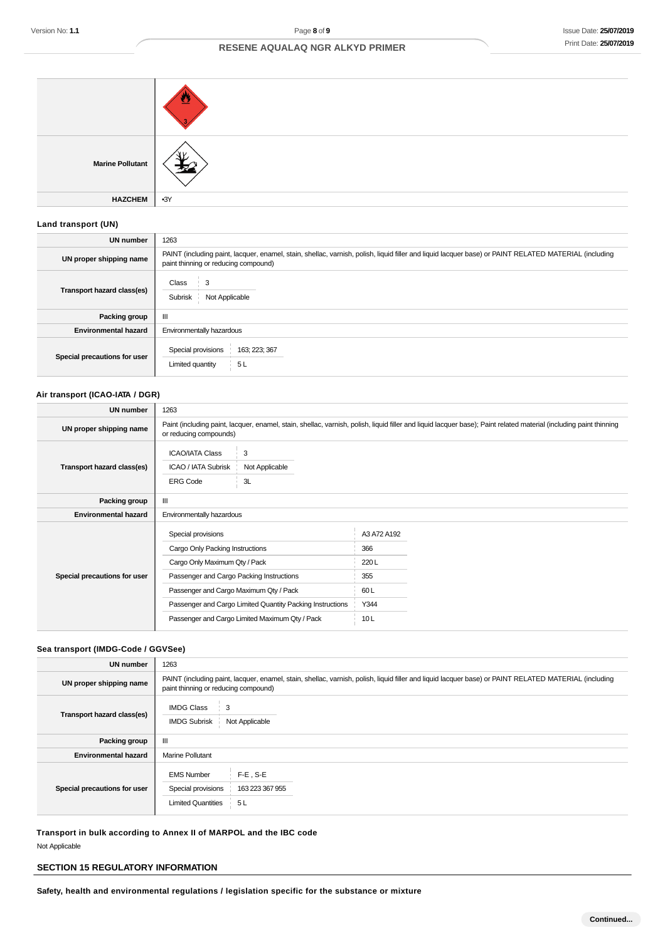| <b>Marine Pollutant</b> |       |
|-------------------------|-------|
| <b>HAZCHEM</b>          | $-3Y$ |

## **Land transport (UN)**

| UN number                    | 1263                                                                                                                                                                                          |
|------------------------------|-----------------------------------------------------------------------------------------------------------------------------------------------------------------------------------------------|
| UN proper shipping name      | PAINT (including paint, lacquer, enamel, stain, shellac, varnish, polish, liquid filler and liquid lacquer base) or PAINT RELATED MATERIAL (including<br>paint thinning or reducing compound) |
| Transport hazard class(es)   | Class<br>3<br>Subrisk<br>Not Applicable                                                                                                                                                       |
| Packing group                | Ш                                                                                                                                                                                             |
| <b>Environmental hazard</b>  | Environmentally hazardous                                                                                                                                                                     |
| Special precautions for user | Special provisions<br>163; 223; 367<br>Limited quantity<br>5L                                                                                                                                 |

### **Air transport (ICAO-IATA / DGR)**

| <b>UN number</b>             | 1263                                                                                                                                                                                         |                                                |             |  |
|------------------------------|----------------------------------------------------------------------------------------------------------------------------------------------------------------------------------------------|------------------------------------------------|-------------|--|
| UN proper shipping name      | Paint (including paint, lacquer, enamel, stain, shellac, varnish, polish, liquid filler and liquid lacquer base); Paint related material (including paint thinning<br>or reducing compounds) |                                                |             |  |
| Transport hazard class(es)   | <b>ICAO/IATA Class</b><br>ICAO / IATA Subrisk<br><b>ERG Code</b>                                                                                                                             | 3<br>Not Applicable<br>3L                      |             |  |
| Packing group                | Ш                                                                                                                                                                                            |                                                |             |  |
| <b>Environmental hazard</b>  | Environmentally hazardous                                                                                                                                                                    |                                                |             |  |
|                              | Special provisions                                                                                                                                                                           |                                                | A3 A72 A192 |  |
| Special precautions for user | Cargo Only Packing Instructions                                                                                                                                                              |                                                | 366         |  |
|                              | Cargo Only Maximum Qty / Pack                                                                                                                                                                |                                                | 220L        |  |
|                              | Passenger and Cargo Packing Instructions                                                                                                                                                     |                                                | 355         |  |
|                              | Passenger and Cargo Maximum Qty / Pack                                                                                                                                                       |                                                | 60L         |  |
|                              | Passenger and Cargo Limited Quantity Packing Instructions                                                                                                                                    |                                                | Y344        |  |
|                              |                                                                                                                                                                                              | Passenger and Cargo Limited Maximum Qty / Pack | 10L         |  |
|                              |                                                                                                                                                                                              |                                                |             |  |

## **Sea transport (IMDG-Code / GGVSee)**

| <b>UN number</b>             | 1263                                                                                                                                                                                          |
|------------------------------|-----------------------------------------------------------------------------------------------------------------------------------------------------------------------------------------------|
| UN proper shipping name      | PAINT (including paint, lacquer, enamel, stain, shellac, varnish, polish, liquid filler and liquid lacquer base) or PAINT RELATED MATERIAL (including<br>paint thinning or reducing compound) |
| Transport hazard class(es)   | <b>IMDG Class</b><br>$\frac{1}{2}$ 3<br><b>IMDG Subrisk</b><br>Not Applicable                                                                                                                 |
| Packing group                | Ш                                                                                                                                                                                             |
| <b>Environmental hazard</b>  | <b>Marine Pollutant</b>                                                                                                                                                                       |
| Special precautions for user | $F-E$ . S-E<br><b>EMS Number</b><br>Special provisions<br>163 223 367 955<br><b>Limited Quantities</b><br>5L                                                                                  |

**Transport in bulk according to Annex II of MARPOL and the IBC code** Not Applicable

## **SECTION 15 REGULATORY INFORMATION**

**Safety, health and environmental regulations / legislation specific for the substance or mixture**